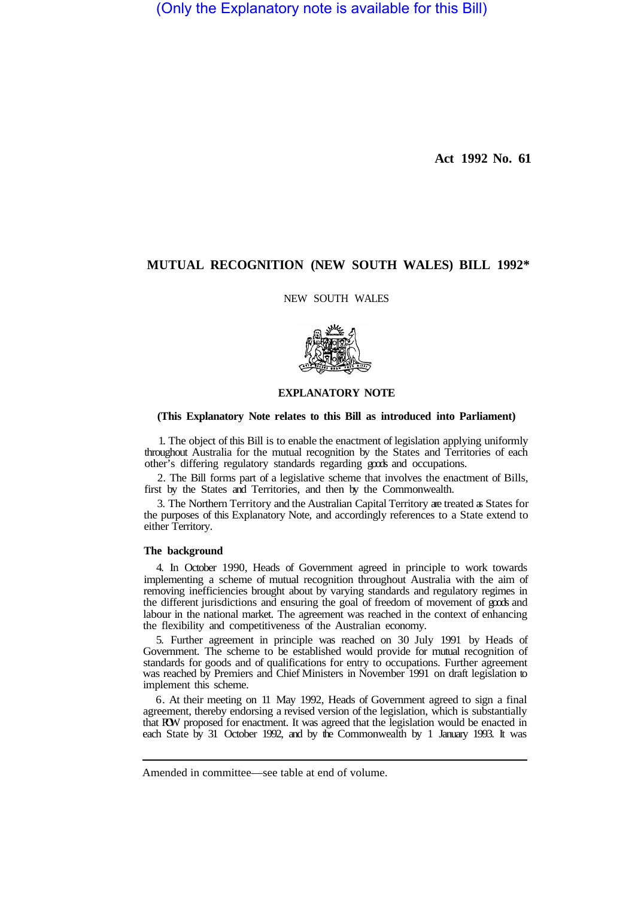(Only the Explanatory note is available for this Bill)

**Act 1992 No. 61** 

# **MUTUAL RECOGNITION (NEW SOUTH WALES) BILL 1992\***

NEW SOUTH WALES



## **EXPLANATORY NOTE**

### **(This Explanatory Note relates to this Bill as introduced into Parliament)**

1. The object of this Bill is to enable the enactment of legislation applying uniformly throughout Australia for the mutual recognition by the States and Territories of each other's differing regulatory standards regarding goods and occupations.

2. The Bill forms part of a legislative scheme that involves the enactment of Bills, first by the States and Territories, and then by the Commonwealth.

3. The Northern Territory and the Australian Capital Territory are treated as States for the purposes of this Explanatory Note, and accordingly references to a State extend to either Territory.

#### **The background**

4. In October 1990, Heads of Government agreed in principle to work towards implementing a scheme of mutual recognition throughout Australia with the aim of removing inefficiencies brought about by varying standards and regulatory regimes in the different jurisdictions and ensuring the goal of freedom of movement of goods and labour in the national market. The agreement was reached in the context of enhancing the flexibility and competitiveness of the Australian economy.

5. Further agreement in principle was reached on 30 July 1991 by Heads of Government. The scheme to be established would provide for mutual recognition of standards for goods and of qualifications for entry to occupations. Further agreement was reached by Premiers and Chief Ministers in November 1991 on draft legislation to implement this scheme.

6. At their meeting on 11 May 1992, Heads of Government agreed to sign a final agreement, thereby endorsing a revised version of the legislation, which is substantially that ROW proposed for enactment. It was agreed that the legislation would be enacted in each State by 31 October 1992, and by the Commonwealth by 1 January 1993. It was

Amended in committee—see table at end of volume.